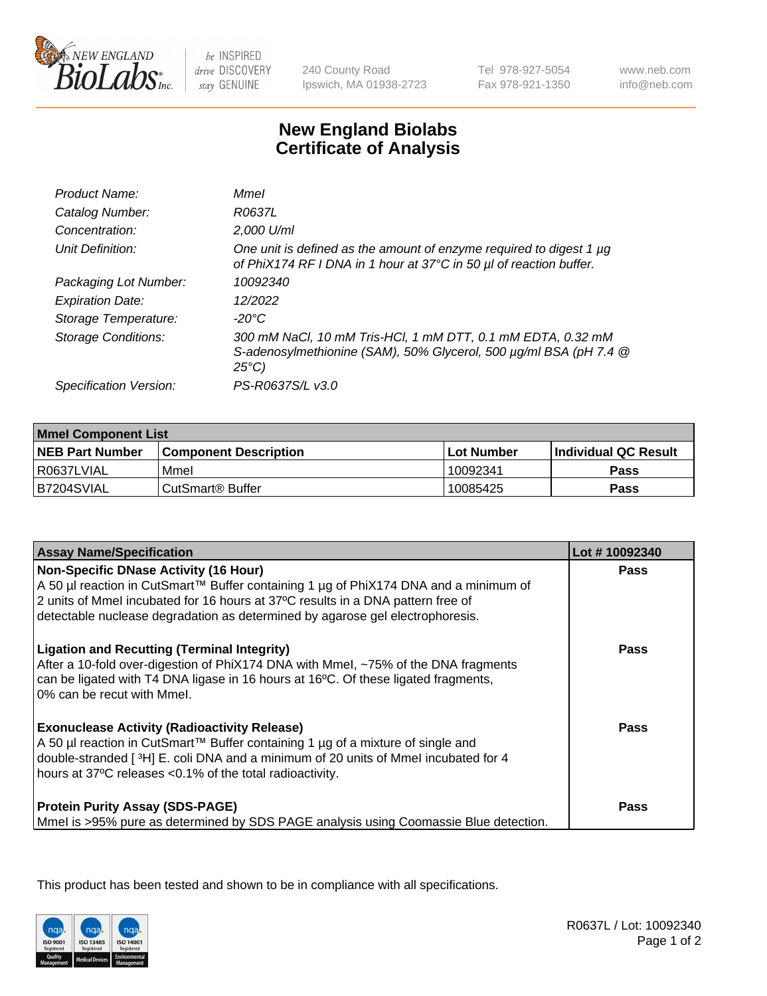

be INSPIRED drive DISCOVERY stay GENUINE

240 County Road Ipswich, MA 01938-2723 Tel 978-927-5054 Fax 978-921-1350

www.neb.com info@neb.com

## **New England Biolabs Certificate of Analysis**

| <b>Mmel</b>                                                                                                                                       |
|---------------------------------------------------------------------------------------------------------------------------------------------------|
| R0637L                                                                                                                                            |
| 2,000 U/ml                                                                                                                                        |
| One unit is defined as the amount of enzyme required to digest 1 µg<br>of PhiX174 RF I DNA in 1 hour at 37°C in 50 µl of reaction buffer.         |
| 10092340                                                                                                                                          |
| 12/2022                                                                                                                                           |
| -20°C                                                                                                                                             |
| 300 mM NaCl, 10 mM Tris-HCl, 1 mM DTT, 0.1 mM EDTA, 0.32 mM<br>S-adenosylmethionine (SAM), 50% Glycerol, 500 µg/ml BSA (pH 7.4 @<br>$25^{\circ}C$ |
| PS-R0637S/L v3.0                                                                                                                                  |
|                                                                                                                                                   |

| <b>Mmel Component List</b> |                              |                   |                       |  |
|----------------------------|------------------------------|-------------------|-----------------------|--|
| <b>NEB Part Number</b>     | <b>Component Description</b> | <b>Lot Number</b> | ∣Individual QC Result |  |
| R0637LVIAL                 | Mmel                         | 10092341          | Pass                  |  |
| IB7204SVIAL                | CutSmart® Buffer             | 10085425          | Pass                  |  |

| <b>Assay Name/Specification</b>                                                                                                                                                                                                                                                                          | Lot #10092340 |
|----------------------------------------------------------------------------------------------------------------------------------------------------------------------------------------------------------------------------------------------------------------------------------------------------------|---------------|
| <b>Non-Specific DNase Activity (16 Hour)</b><br>A 50 µl reaction in CutSmart™ Buffer containing 1 µg of PhiX174 DNA and a minimum of<br>2 units of Mmel incubated for 16 hours at 37°C results in a DNA pattern free of<br>detectable nuclease degradation as determined by agarose gel electrophoresis. | Pass          |
| <b>Ligation and Recutting (Terminal Integrity)</b><br>After a 10-fold over-digestion of PhiX174 DNA with Mmel, ~75% of the DNA fragments<br>can be ligated with T4 DNA ligase in 16 hours at 16°C. Of these ligated fragments,<br>0% can be recut with Mmel.                                             | Pass          |
| <b>Exonuclease Activity (Radioactivity Release)</b><br>A 50 µl reaction in CutSmart™ Buffer containing 1 µg of a mixture of single and<br>double-stranded [3H] E. coli DNA and a minimum of 20 units of Mmel incubated for 4<br>hours at 37°C releases <0.1% of the total radioactivity.                 | <b>Pass</b>   |
| <b>Protein Purity Assay (SDS-PAGE)</b><br>Mmel is >95% pure as determined by SDS PAGE analysis using Coomassie Blue detection.                                                                                                                                                                           | Pass          |

This product has been tested and shown to be in compliance with all specifications.